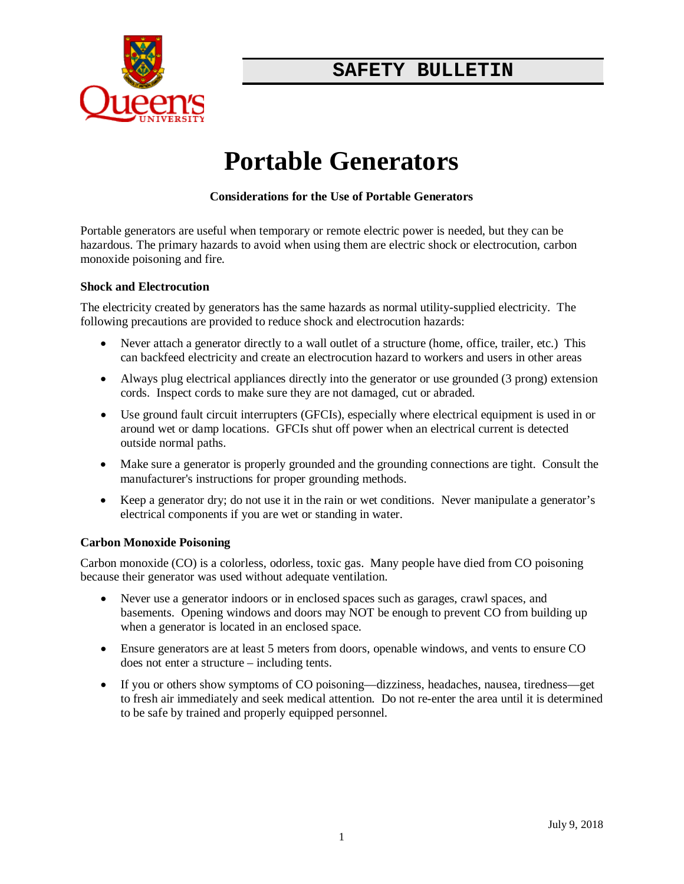

# **SAFETY BULLETIN**

# **Portable Generators**

## **Considerations for the Use of Portable Generators**

Portable generators are useful when temporary or remote electric power is needed, but they can be hazardous. The primary hazards to avoid when using them are electric shock or electrocution, carbon monoxide poisoning and fire.

#### **Shock and Electrocution**

The electricity created by generators has the same hazards as normal utility-supplied electricity. The following precautions are provided to reduce shock and electrocution hazards:

- Never attach a generator directly to a wall outlet of a structure (home, office, trailer, etc.) This can backfeed electricity and create an electrocution hazard to workers and users in other areas
- Always plug electrical appliances directly into the generator or use grounded (3 prong) extension cords. Inspect cords to make sure they are not damaged, cut or abraded.
- Use ground fault circuit interrupters (GFCIs), especially where electrical equipment is used in or around wet or damp locations. GFCIs shut off power when an electrical current is detected outside normal paths.
- Make sure a generator is properly grounded and the grounding connections are tight. Consult the manufacturer's instructions for proper grounding methods.
- Keep a generator dry; do not use it in the rain or wet conditions. Never manipulate a generator's electrical components if you are wet or standing in water.

#### **Carbon Monoxide Poisoning**

Carbon monoxide (CO) is a colorless, odorless, toxic gas. Many people have died from CO poisoning because their generator was used without adequate ventilation.

- Never use a generator indoors or in enclosed spaces such as garages, crawl spaces, and basements. Opening windows and doors may NOT be enough to prevent CO from building up when a generator is located in an enclosed space.
- Ensure generators are at least 5 meters from doors, openable windows, and vents to ensure CO does not enter a structure – including tents.
- If you or others show symptoms of CO poisoning—dizziness, headaches, nausea, tiredness—get to fresh air immediately and seek medical attention. Do not re-enter the area until it is determined to be safe by trained and properly equipped personnel.